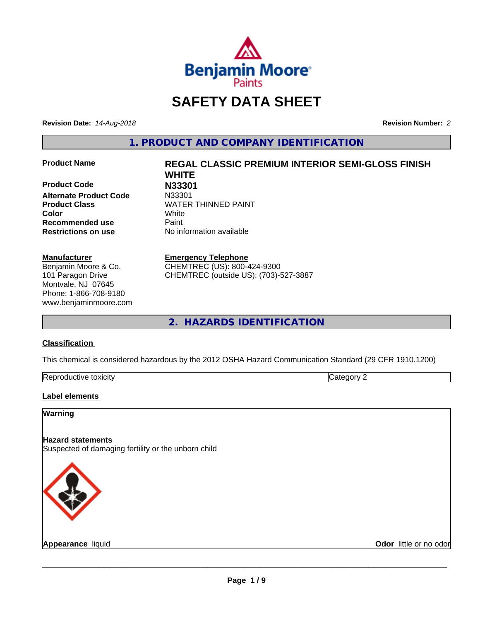

# **SAFETY DATA SHEET**

**Revision Date:** *14-Aug-2018* **Revision Number:** *2*

**1. PRODUCT AND COMPANY IDENTIFICATION**

**Product Code N33301 Alternate Product Code Color** White **Recommended use Caint Restrictions on use** No information available

#### **Manufacturer**

Benjamin Moore & Co. 101 Paragon Drive Montvale, NJ 07645 Phone: 1-866-708-9180 www.benjaminmoore.com

# **Product Name REGAL CLASSIC PREMIUM INTERIOR SEMI-GLOSS FINISH WHITE Product Class WATER THINNED PAINT**

#### **Emergency Telephone**

CHEMTREC (US): 800-424-9300 CHEMTREC (outside US): (703)-527-3887

**2. HAZARDS IDENTIFICATION**

#### **Classification**

This chemical is considered hazardous by the 2012 OSHA Hazard Communication Standard (29 CFR 1910.1200)

| toxicity<br>Repr.<br>oductive | ĸ<br>-- - --<br>.ат<br>ιr<br>51 J L |
|-------------------------------|-------------------------------------|

#### **Label elements**

#### **Warning**

#### **Hazard statements** Suspected of damaging fertility or the unborn child



**Appearance** liquid **Contract Contract Contract Contract Contract Contract Contract Contract Contract Contract Contract Contract Contract Contract Contract Contract Contract Contract Contract Contract Contract Contract Con**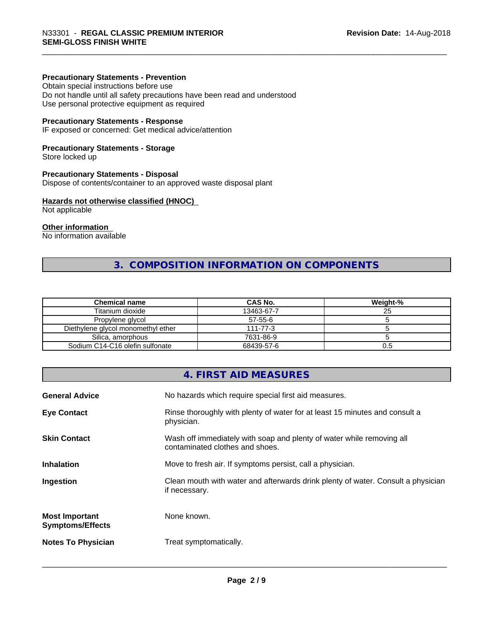#### **Precautionary Statements - Prevention**

Obtain special instructions before use Do not handle until all safety precautions have been read and understood Use personal protective equipment as required

#### **Precautionary Statements - Response**

IF exposed or concerned: Get medical advice/attention

#### **Precautionary Statements - Storage**

Store locked up

#### **Precautionary Statements - Disposal**

Dispose of contents/container to an approved waste disposal plant

#### **Hazards not otherwise classified (HNOC)**

Not applicable

#### **Other information**

No information available

# **3. COMPOSITION INFORMATION ON COMPONENTS**

| <b>Chemical name</b>               | CAS No.        | Weight-% |
|------------------------------------|----------------|----------|
| Titanium dioxide                   | 13463-67-7     | 25       |
| Propylene glycol                   | $57 - 55 - 6$  |          |
| Diethylene glycol monomethyl ether | $111 - 77 - 3$ |          |
| Silica, amorphous                  | 7631-86-9      |          |
| Sodium C14-C16 olefin sulfonate    | 68439-57-6     | 0.5      |

## **4. FIRST AID MEASURES**

| <b>General Advice</b>                            | No hazards which require special first aid measures.                                                     |
|--------------------------------------------------|----------------------------------------------------------------------------------------------------------|
| <b>Eye Contact</b>                               | Rinse thoroughly with plenty of water for at least 15 minutes and consult a<br>physician.                |
| <b>Skin Contact</b>                              | Wash off immediately with soap and plenty of water while removing all<br>contaminated clothes and shoes. |
| <b>Inhalation</b>                                | Move to fresh air. If symptoms persist, call a physician.                                                |
| Ingestion                                        | Clean mouth with water and afterwards drink plenty of water. Consult a physician<br>if necessary.        |
| <b>Most Important</b><br><b>Symptoms/Effects</b> | None known.                                                                                              |
| <b>Notes To Physician</b>                        | Treat symptomatically.                                                                                   |
|                                                  |                                                                                                          |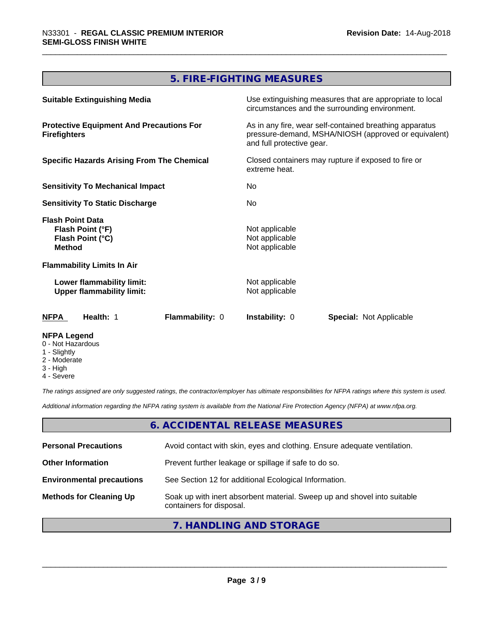# **5. FIRE-FIGHTING MEASURES**

| <b>Suitable Extinguishing Media</b>                                              | Use extinguishing measures that are appropriate to local<br>circumstances and the surrounding environment.                                   |  |
|----------------------------------------------------------------------------------|----------------------------------------------------------------------------------------------------------------------------------------------|--|
| <b>Protective Equipment And Precautions For</b><br><b>Firefighters</b>           | As in any fire, wear self-contained breathing apparatus<br>pressure-demand, MSHA/NIOSH (approved or equivalent)<br>and full protective gear. |  |
| <b>Specific Hazards Arising From The Chemical</b>                                | Closed containers may rupture if exposed to fire or<br>extreme heat.                                                                         |  |
| <b>Sensitivity To Mechanical Impact</b>                                          | No.                                                                                                                                          |  |
| <b>Sensitivity To Static Discharge</b>                                           | No.                                                                                                                                          |  |
| <b>Flash Point Data</b><br>Flash Point (°F)<br>Flash Point (°C)<br><b>Method</b> | Not applicable<br>Not applicable<br>Not applicable                                                                                           |  |
| <b>Flammability Limits In Air</b>                                                |                                                                                                                                              |  |
| Lower flammability limit:<br><b>Upper flammability limit:</b>                    | Not applicable<br>Not applicable                                                                                                             |  |
| <b>Flammability: 0</b><br><b>NFPA</b><br>Health: 1                               | <b>Instability: 0</b><br><b>Special: Not Applicable</b>                                                                                      |  |
| <b>NFPA Legend</b><br>0 - Not Hazardous<br>1 - Slightly                          |                                                                                                                                              |  |

- 2 Moderate
- 3 High
- 4 Severe

*The ratings assigned are only suggested ratings, the contractor/employer has ultimate responsibilities for NFPA ratings where this system is used.*

*Additional information regarding the NFPA rating system is available from the National Fire Protection Agency (NFPA) at www.nfpa.org.*

#### **6. ACCIDENTAL RELEASE MEASURES**

| <b>Personal Precautions</b>      | Avoid contact with skin, eyes and clothing. Ensure adequate ventilation.                             |
|----------------------------------|------------------------------------------------------------------------------------------------------|
| <b>Other Information</b>         | Prevent further leakage or spillage if safe to do so.                                                |
| <b>Environmental precautions</b> | See Section 12 for additional Ecological Information.                                                |
| <b>Methods for Cleaning Up</b>   | Soak up with inert absorbent material. Sweep up and shovel into suitable<br>containers for disposal. |

# **7. HANDLING AND STORAGE**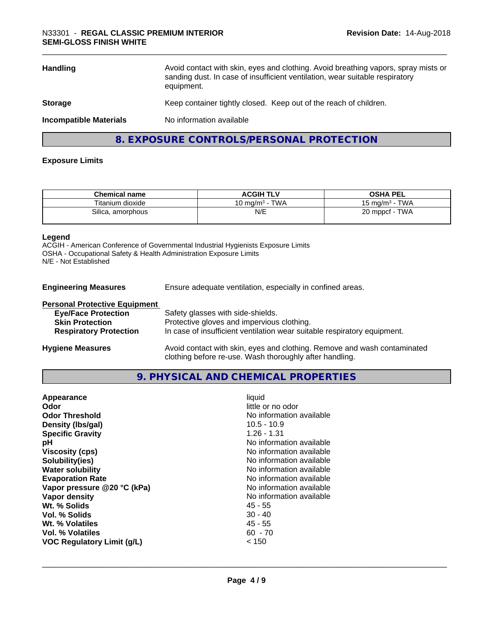| Avoid contact with skin, eyes and clothing. Avoid breathing vapors, spray mists or<br><b>Handling</b><br>sanding dust. In case of insufficient ventilation, wear suitable respiratory<br>equipment. |                                          |
|-----------------------------------------------------------------------------------------------------------------------------------------------------------------------------------------------------|------------------------------------------|
| Keep container tightly closed. Keep out of the reach of children.<br><b>Storage</b>                                                                                                                 |                                          |
| <b>Incompatible Materials</b>                                                                                                                                                                       | No information available                 |
|                                                                                                                                                                                                     | 8. EXPOSURE CONTROLS/PERSONAL PROTECTION |

#### **Exposure Limits**

| <b>Chemical name</b>       | <b>ACGIH TLV</b>                      | <b>OSHA PEL</b>                           |
|----------------------------|---------------------------------------|-------------------------------------------|
| Titanium dioxide           | <b>TWA</b><br>$10 \; \mathrm{mq/m^3}$ | <b>TWA</b><br>i ma/m <sup>3</sup><br>ו טו |
| <b>Silica</b><br>amorphous | N/E                                   | TWA<br>20 mppcf<br>ZU                     |

#### **Legend**

ACGIH - American Conference of Governmental Industrial Hygienists Exposure Limits OSHA - Occupational Safety & Health Administration Exposure Limits N/E - Not Established

**Engineering Measures** Ensure adequate ventilation, especially in confined areas.

| <b>Personal Protective Equipment</b> |                                                                                                                                     |
|--------------------------------------|-------------------------------------------------------------------------------------------------------------------------------------|
| <b>Eye/Face Protection</b>           | Safety glasses with side-shields.                                                                                                   |
| <b>Skin Protection</b>               | Protective gloves and impervious clothing.                                                                                          |
| <b>Respiratory Protection</b>        | In case of insufficient ventilation wear suitable respiratory equipment.                                                            |
| <b>Hygiene Measures</b>              | Avoid contact with skin, eyes and clothing. Remove and wash contaminated<br>clothing before re-use. Wash thoroughly after handling. |

#### **9. PHYSICAL AND CHEMICAL PROPERTIES**

| No information available<br><b>Odor Threshold</b><br>Density (Ibs/gal)<br>$10.5 - 10.9$<br><b>Specific Gravity</b><br>$1.26 - 1.31$<br>No information available<br>рH<br><b>Viscosity (cps)</b><br>No information available<br>Solubility(ies)<br>No information available<br>No information available<br><b>Water solubility</b><br><b>Evaporation Rate</b><br>No information available<br>Vapor pressure @20 °C (kPa)<br>No information available<br>No information available<br>Vapor density<br>Wt. % Solids<br>45 - 55<br>$30 - 40$<br>Vol. % Solids<br>Wt. % Volatiles<br>45 - 55<br>Vol. % Volatiles<br>$60 - 70$<br>< 150<br>VOC Regulatory Limit (g/L) | Appearance<br>Odor | liquid<br>little or no odor |  |
|-----------------------------------------------------------------------------------------------------------------------------------------------------------------------------------------------------------------------------------------------------------------------------------------------------------------------------------------------------------------------------------------------------------------------------------------------------------------------------------------------------------------------------------------------------------------------------------------------------------------------------------------------------------------|--------------------|-----------------------------|--|
|-----------------------------------------------------------------------------------------------------------------------------------------------------------------------------------------------------------------------------------------------------------------------------------------------------------------------------------------------------------------------------------------------------------------------------------------------------------------------------------------------------------------------------------------------------------------------------------------------------------------------------------------------------------------|--------------------|-----------------------------|--|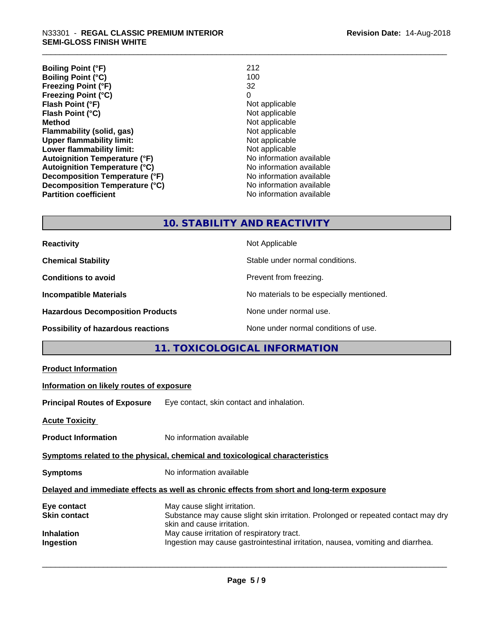| <b>Boiling Point (°F)</b>            | 212                      |
|--------------------------------------|--------------------------|
| <b>Boiling Point (°C)</b>            | 100                      |
| Freezing Point (°F)                  | 32                       |
| <b>Freezing Point (°C)</b>           | 0                        |
| Flash Point (°F)                     | Not applicable           |
| Flash Point (°C)                     | Not applicable           |
| <b>Method</b>                        | Not applicable           |
| Flammability (solid, gas)            | Not applicable           |
| <b>Upper flammability limit:</b>     | Not applicable           |
| Lower flammability limit:            | Not applicable           |
| <b>Autoignition Temperature (°F)</b> | No information available |
| <b>Autoignition Temperature (°C)</b> | No information available |
| Decomposition Temperature (°F)       | No information available |
| Decomposition Temperature (°C)       | No information available |
| <b>Partition coefficient</b>         | No information available |

# **10. STABILITY AND REACTIVITY**

| <b>Reactivity</b>                         | Not Applicable                           |
|-------------------------------------------|------------------------------------------|
| <b>Chemical Stability</b>                 | Stable under normal conditions.          |
| <b>Conditions to avoid</b>                | Prevent from freezing.                   |
| <b>Incompatible Materials</b>             | No materials to be especially mentioned. |
| <b>Hazardous Decomposition Products</b>   | None under normal use.                   |
| <b>Possibility of hazardous reactions</b> | None under normal conditions of use.     |

# **11. TOXICOLOGICAL INFORMATION**

| <b>Product Information</b>                                                                 |                                                                                                                                                 |  |  |
|--------------------------------------------------------------------------------------------|-------------------------------------------------------------------------------------------------------------------------------------------------|--|--|
|                                                                                            | Information on likely routes of exposure                                                                                                        |  |  |
|                                                                                            | Principal Routes of Exposure Eye contact, skin contact and inhalation.                                                                          |  |  |
| <b>Acute Toxicity</b>                                                                      |                                                                                                                                                 |  |  |
| <b>Product Information</b>                                                                 | No information available                                                                                                                        |  |  |
| Symptoms related to the physical, chemical and toxicological characteristics               |                                                                                                                                                 |  |  |
| <b>Symptoms</b>                                                                            | No information available                                                                                                                        |  |  |
| Delayed and immediate effects as well as chronic effects from short and long-term exposure |                                                                                                                                                 |  |  |
| Eye contact<br>Skin contact                                                                | May cause slight irritation.<br>Substance may cause slight skin irritation. Prolonged or repeated contact may dry<br>skin and cause irritation. |  |  |
| Inhalation<br>Ingestion                                                                    | May cause irritation of respiratory tract.<br>Ingestion may cause gastrointestinal irritation, nausea, vomiting and diarrhea.                   |  |  |
|                                                                                            |                                                                                                                                                 |  |  |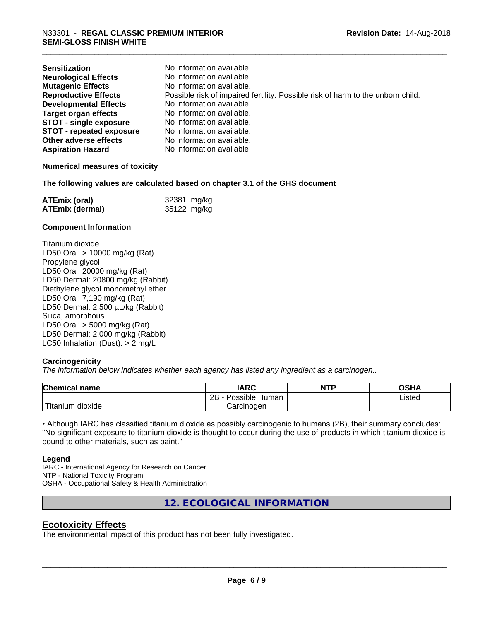| <b>Sensitization</b>            | No information available                                                        |
|---------------------------------|---------------------------------------------------------------------------------|
| <b>Neurological Effects</b>     | No information available.                                                       |
| <b>Mutagenic Effects</b>        | No information available.                                                       |
| <b>Reproductive Effects</b>     | Possible risk of impaired fertility. Possible risk of harm to the unborn child. |
| <b>Developmental Effects</b>    | No information available.                                                       |
| Target organ effects            | No information available.                                                       |
| <b>STOT - single exposure</b>   | No information available.                                                       |
| <b>STOT - repeated exposure</b> | No information available.                                                       |
| Other adverse effects           | No information available.                                                       |
| <b>Aspiration Hazard</b>        | No information available                                                        |

#### **Numerical measures of toxicity**

#### **The following values are calculated based on chapter 3.1 of the GHS document**

| <b>ATEmix (oral)</b>   | 32381 mg/kg |
|------------------------|-------------|
| <b>ATEmix (dermal)</b> | 35122 mg/kg |

#### **Component Information**

Titanium dioxide LD50 Oral: > 10000 mg/kg (Rat) Propylene glycol LD50 Oral: 20000 mg/kg (Rat) LD50 Dermal: 20800 mg/kg (Rabbit) Diethylene glycol monomethyl ether LD50 Oral: 7,190 mg/kg (Rat) LD50 Dermal: 2,500 µL/kg (Rabbit) Silica, amorphous LD50 Oral: > 5000 mg/kg (Rat) LD50 Dermal: 2,000 mg/kg (Rabbit) LC50 Inhalation (Dust): > 2 mg/L

#### **Carcinogenicity**

*The information below indicateswhether each agency has listed any ingredient as a carcinogen:.*

| <b>Chemical</b><br>name          | <b>IARC</b>                      | <b>NTP</b> | <b>OSHA</b> |
|----------------------------------|----------------------------------|------------|-------------|
|                                  | . .<br>2B<br>Possible<br>: Human |            | Listed      |
| .<br>, dioxide<br><b>itanium</b> | Carcinoɑen                       |            |             |

• Although IARC has classified titanium dioxide as possibly carcinogenic to humans (2B), their summary concludes: "No significant exposure to titanium dioxide is thought to occur during the use of products in which titanium dioxide is bound to other materials, such as paint."

#### **Legend**

IARC - International Agency for Research on Cancer NTP - National Toxicity Program OSHA - Occupational Safety & Health Administration

**12. ECOLOGICAL INFORMATION**

#### **Ecotoxicity Effects**

The environmental impact of this product has not been fully investigated.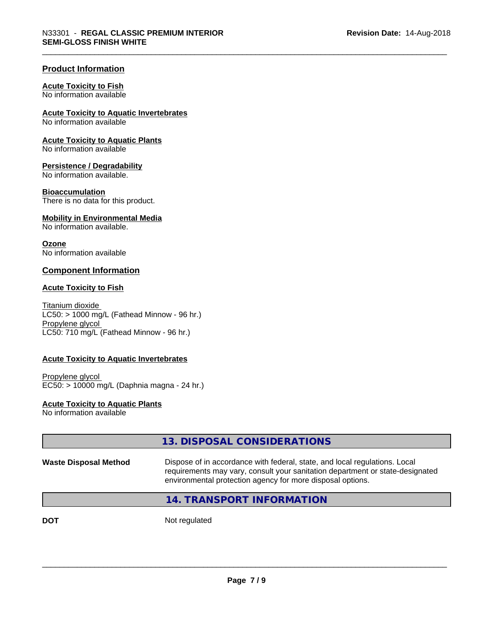#### **Product Information**

#### **Acute Toxicity to Fish**

No information available

#### **Acute Toxicity to Aquatic Invertebrates**

No information available

#### **Acute Toxicity to Aquatic Plants**

No information available

#### **Persistence / Degradability**

No information available.

#### **Bioaccumulation**

There is no data for this product.

#### **Mobility in Environmental Media**

No information available.

#### **Ozone**

No information available

## **Component Information**

#### **Acute Toxicity to Fish**

Titanium dioxide  $LC50:$  > 1000 mg/L (Fathead Minnow - 96 hr.) Propylene glycol LC50: 710 mg/L (Fathead Minnow - 96 hr.)

#### **Acute Toxicity to Aquatic Invertebrates**

Propylene glycol EC50: > 10000 mg/L (Daphnia magna - 24 hr.)

#### **Acute Toxicity to Aquatic Plants**

No information available

|                              | 13. DISPOSAL CONSIDERATIONS                                                                                                                                                                                               |
|------------------------------|---------------------------------------------------------------------------------------------------------------------------------------------------------------------------------------------------------------------------|
| <b>Waste Disposal Method</b> | Dispose of in accordance with federal, state, and local regulations. Local<br>requirements may vary, consult your sanitation department or state-designated<br>environmental protection agency for more disposal options. |
|                              | 14. TRANSPORT INFORMATION                                                                                                                                                                                                 |

**DOT** Not regulated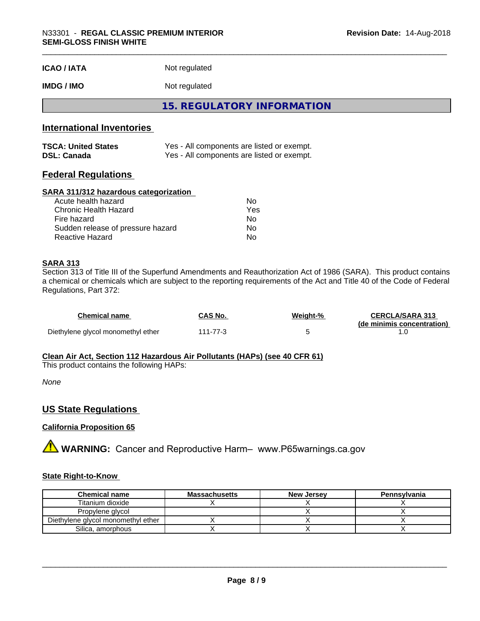| <b>ICAO / IATA</b> | Not regulated |
|--------------------|---------------|
|                    |               |

# **IMDG / IMO** Not regulated

**15. REGULATORY INFORMATION**

## **International Inventories**

| <b>TSCA: United States</b> | Yes - All components are listed or exempt. |
|----------------------------|--------------------------------------------|
| <b>DSL: Canada</b>         | Yes - All components are listed or exempt. |

#### **Federal Regulations**

#### **SARA 311/312 hazardous categorization**

| Acute health hazard               | Nο  |  |
|-----------------------------------|-----|--|
| Chronic Health Hazard             | Yes |  |
| Fire hazard                       | Nο  |  |
| Sudden release of pressure hazard | Nο  |  |
| Reactive Hazard                   | Nο  |  |

#### **SARA 313**

Section 313 of Title III of the Superfund Amendments and Reauthorization Act of 1986 (SARA). This product contains a chemical or chemicals which are subject to the reporting requirements of the Act and Title 40 of the Code of Federal Regulations, Part 372:

| Chemical name                      | CAS No.  | Weiaht-% | <b>CERCLA/SARA 313</b><br>(de minimis concentration) |
|------------------------------------|----------|----------|------------------------------------------------------|
| Diethylene glycol monomethyl ether | 111-77-3 |          |                                                      |

#### **Clean Air Act,Section 112 Hazardous Air Pollutants (HAPs) (see 40 CFR 61)**

This product contains the following HAPs:

*None*

#### **US State Regulations**

#### **California Proposition 65**

**A** WARNING: Cancer and Reproductive Harm– www.P65warnings.ca.gov

#### **State Right-to-Know**

| <b>Chemical name</b>               | <b>Massachusetts</b> | <b>New Jersey</b> | Pennsylvania |
|------------------------------------|----------------------|-------------------|--------------|
| Titanium dioxide                   |                      |                   |              |
| Propylene glycol                   |                      |                   |              |
| Diethylene glycol monomethyl ether |                      |                   |              |
| Silica, amorphous                  |                      |                   |              |